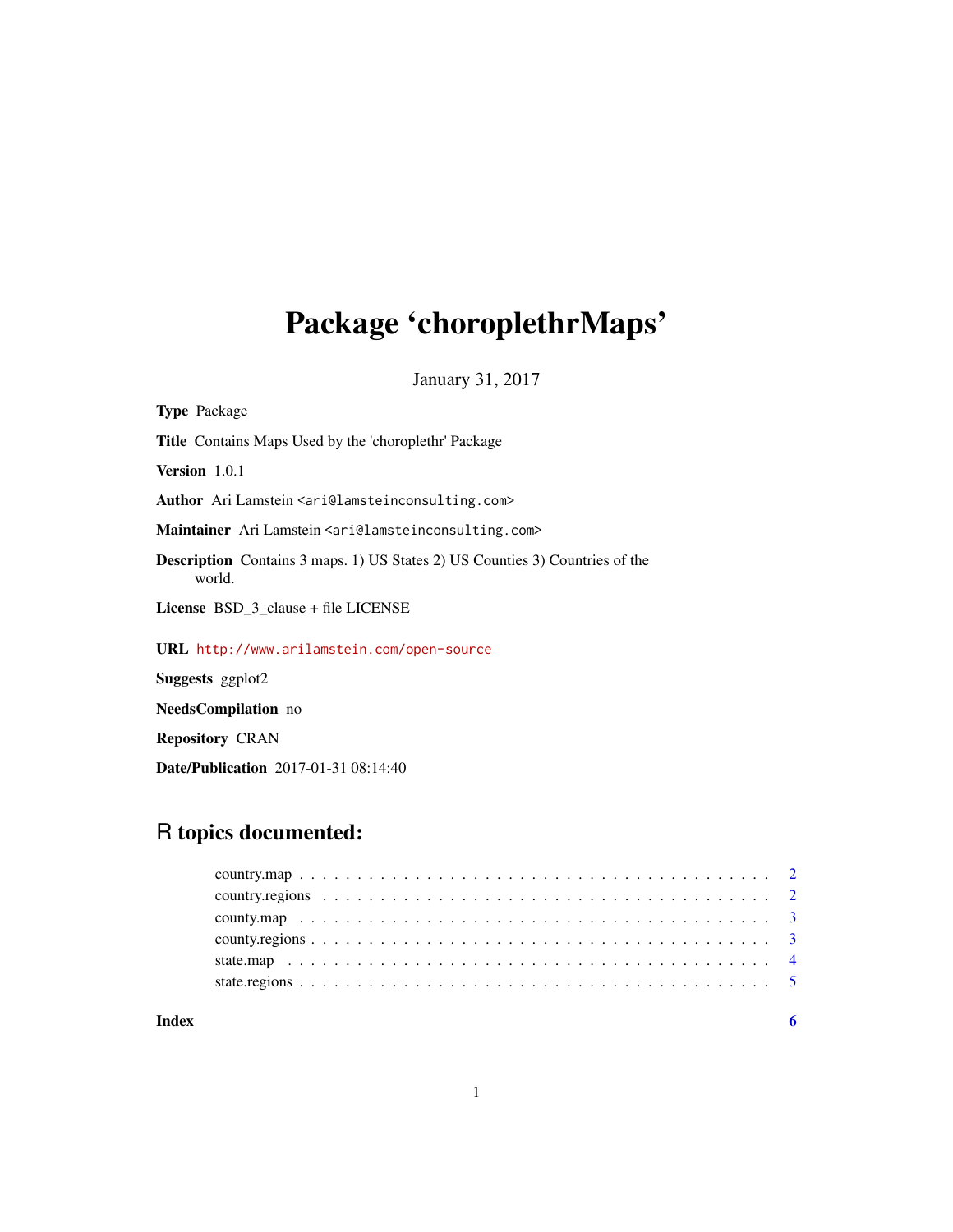# Package 'choroplethrMaps'

January 31, 2017

| <b>Type Package</b>                                                                           |  |  |
|-----------------------------------------------------------------------------------------------|--|--|
| <b>Title</b> Contains Maps Used by the 'choroplethr' Package                                  |  |  |
| <b>Version</b> $1.0.1$                                                                        |  |  |
| Author Ari Lamstein <ari@lamsteinconsulting.com></ari@lamsteinconsulting.com>                 |  |  |
| Maintainer Ari Lamstein <ari@lamsteinconsulting.com></ari@lamsteinconsulting.com>             |  |  |
| <b>Description</b> Contains 3 maps. 1) US States 2) US Counties 3) Countries of the<br>world. |  |  |
| License $BSD_3$ -clause + file LICENSE                                                        |  |  |
| URL http://www.arilamstein.com/open-source                                                    |  |  |
| <b>Suggests</b> ggplot2                                                                       |  |  |
| <b>NeedsCompilation</b> no                                                                    |  |  |

Repository CRAN

Date/Publication 2017-01-31 08:14:40

# R topics documented:

# 1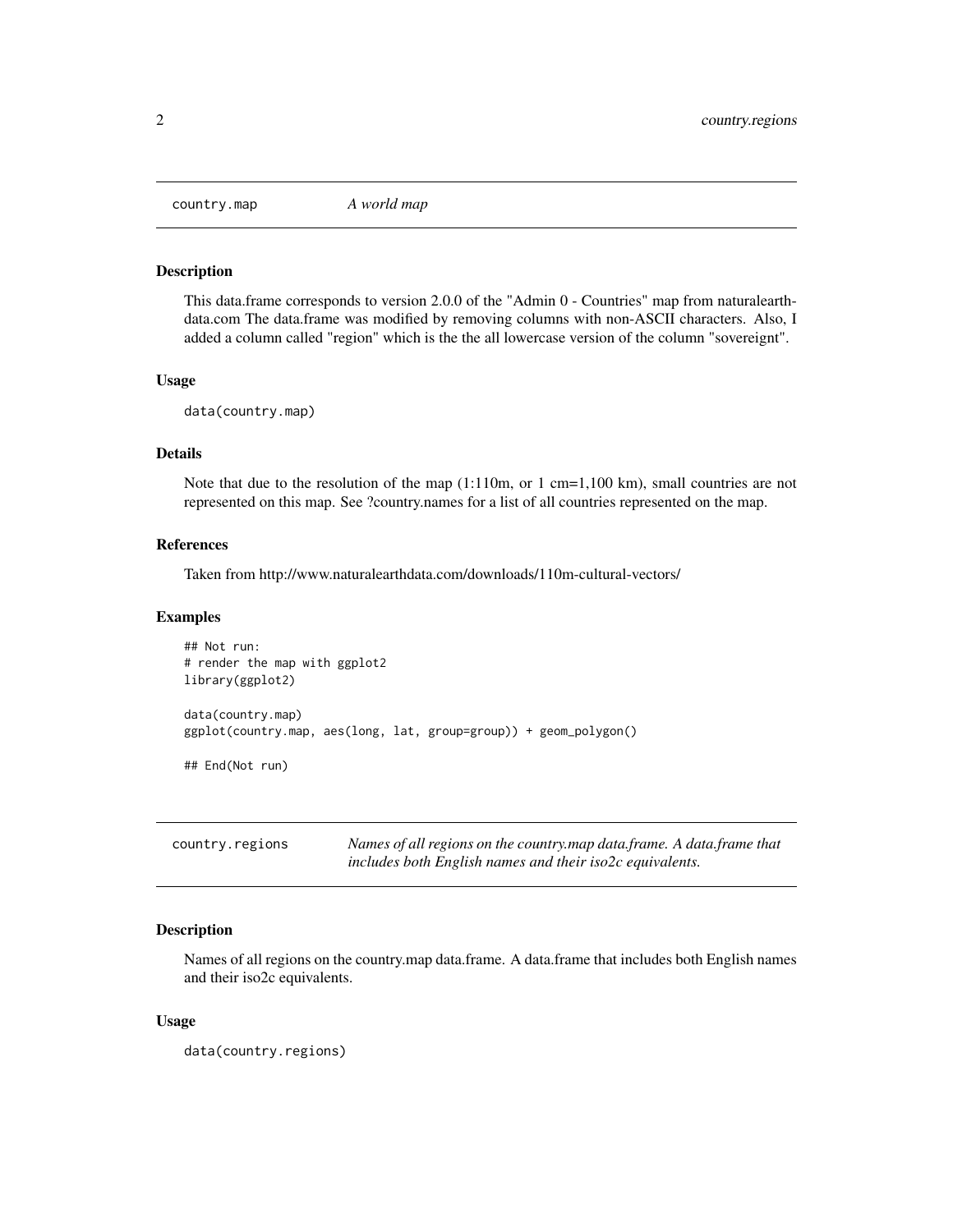<span id="page-1-0"></span>

#### Description

This data.frame corresponds to version 2.0.0 of the "Admin 0 - Countries" map from naturalearthdata.com The data.frame was modified by removing columns with non-ASCII characters. Also, I added a column called "region" which is the the all lowercase version of the column "sovereignt".

#### Usage

data(country.map)

### Details

Note that due to the resolution of the map  $(1:110m, or 1 cm=1,100 km)$ , small countries are not represented on this map. See ?country.names for a list of all countries represented on the map.

### References

Taken from http://www.naturalearthdata.com/downloads/110m-cultural-vectors/

#### Examples

```
## Not run:
# render the map with ggplot2
library(ggplot2)
data(country.map)
ggplot(country.map, aes(long, lat, group=group)) + geom_polygon()
## End(Not run)
```

| country.regions | Names of all regions on the country.map data.frame. A data.frame that |
|-----------------|-----------------------------------------------------------------------|
|                 | includes both English names and their iso2c equivalents.              |

# Description

Names of all regions on the country.map data.frame. A data.frame that includes both English names and their iso2c equivalents.

#### Usage

```
data(country.regions)
```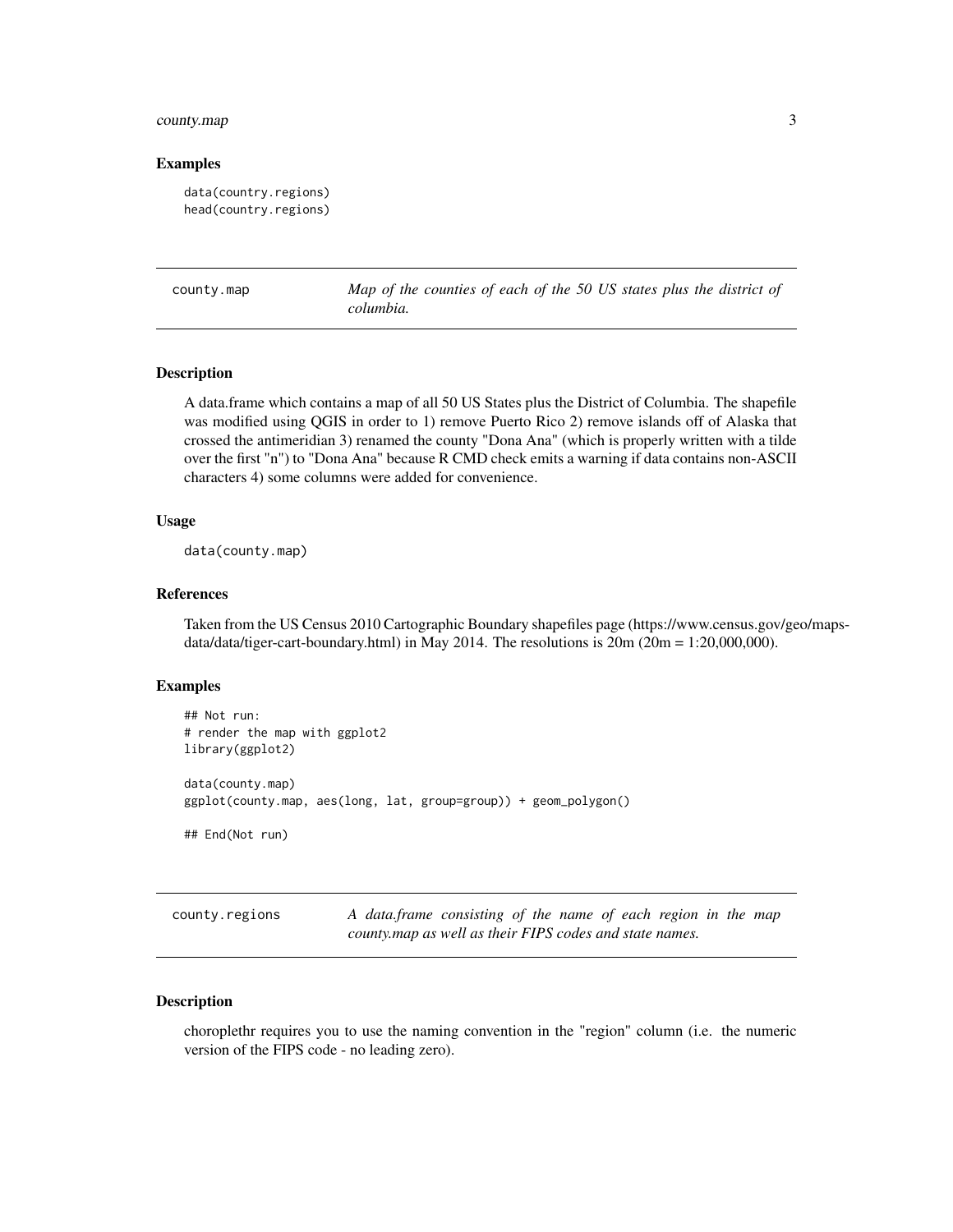# <span id="page-2-0"></span>county.map 3

#### Examples

```
data(country.regions)
head(country.regions)
```
county.map *Map of the counties of each of the 50 US states plus the district of columbia.*

#### Description

A data.frame which contains a map of all 50 US States plus the District of Columbia. The shapefile was modified using QGIS in order to 1) remove Puerto Rico 2) remove islands off of Alaska that crossed the antimeridian 3) renamed the county "Dona Ana" (which is properly written with a tilde over the first "n") to "Dona Ana" because R CMD check emits a warning if data contains non-ASCII characters 4) some columns were added for convenience.

#### Usage

data(county.map)

#### References

Taken from the US Census 2010 Cartographic Boundary shapefiles page (https://www.census.gov/geo/mapsdata/data/tiger-cart-boundary.html) in May 2014. The resolutions is  $20m (20m = 1:20,000,000)$ .

#### Examples

```
## Not run:
# render the map with ggplot2
library(ggplot2)
data(county.map)
ggplot(county.map, aes(long, lat, group=group)) + geom_polygon()
## End(Not run)
```
county.regions *A data.frame consisting of the name of each region in the map county.map as well as their FIPS codes and state names.*

#### Description

choroplethr requires you to use the naming convention in the "region" column (i.e. the numeric version of the FIPS code - no leading zero).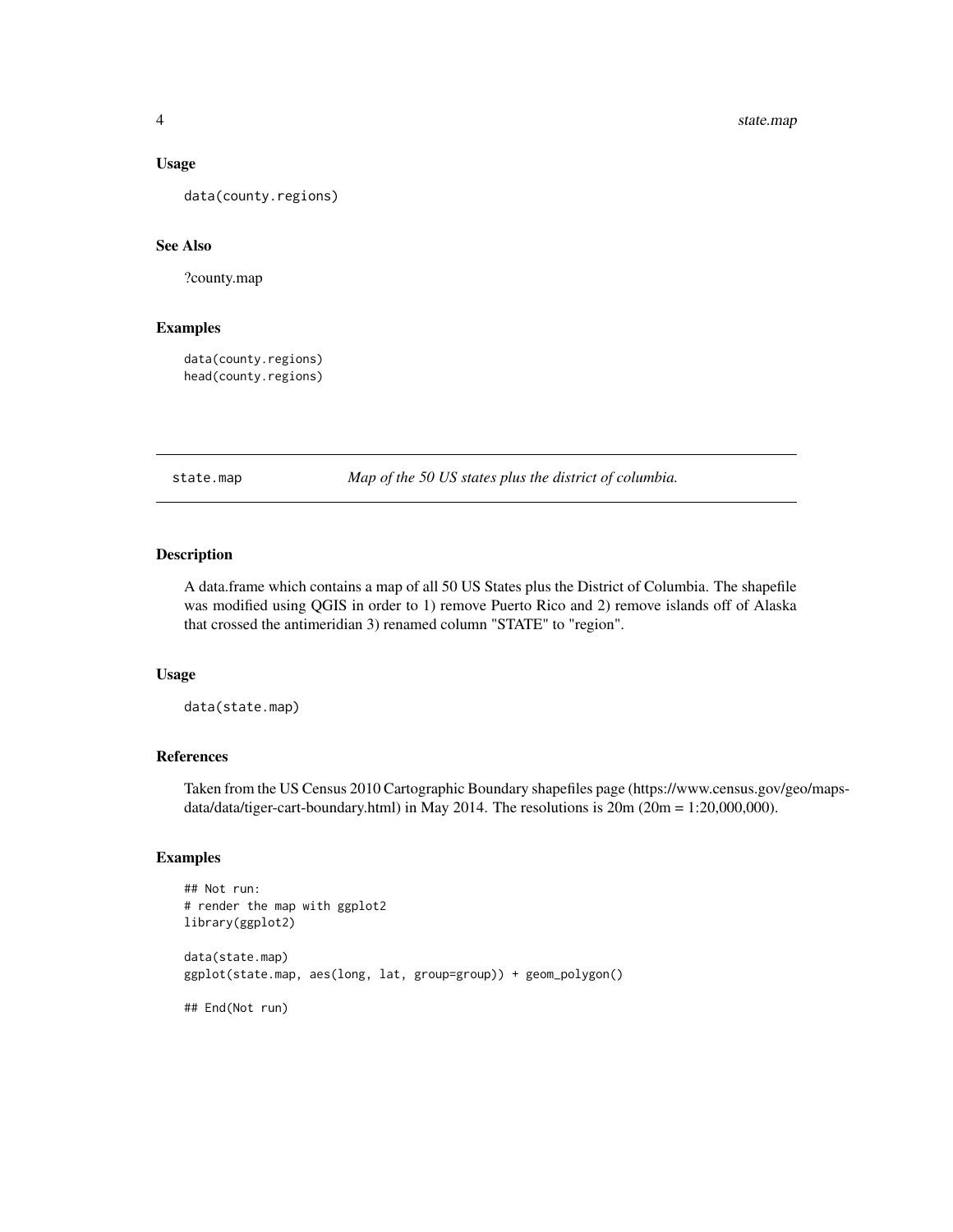#### <span id="page-3-0"></span>Usage

data(county.regions)

#### See Also

?county.map

#### Examples

data(county.regions) head(county.regions)

state.map *Map of the 50 US states plus the district of columbia.*

# Description

A data.frame which contains a map of all 50 US States plus the District of Columbia. The shapefile was modified using QGIS in order to 1) remove Puerto Rico and 2) remove islands off of Alaska that crossed the antimeridian 3) renamed column "STATE" to "region".

#### Usage

data(state.map)

# References

Taken from the US Census 2010 Cartographic Boundary shapefiles page (https://www.census.gov/geo/mapsdata/data/tiger-cart-boundary.html) in May 2014. The resolutions is  $20m (20m = 1:20,000,000)$ .

#### Examples

```
## Not run:
# render the map with ggplot2
library(ggplot2)
data(state.map)
ggplot(state.map, aes(long, lat, group=group)) + geom_polygon()
## End(Not run)
```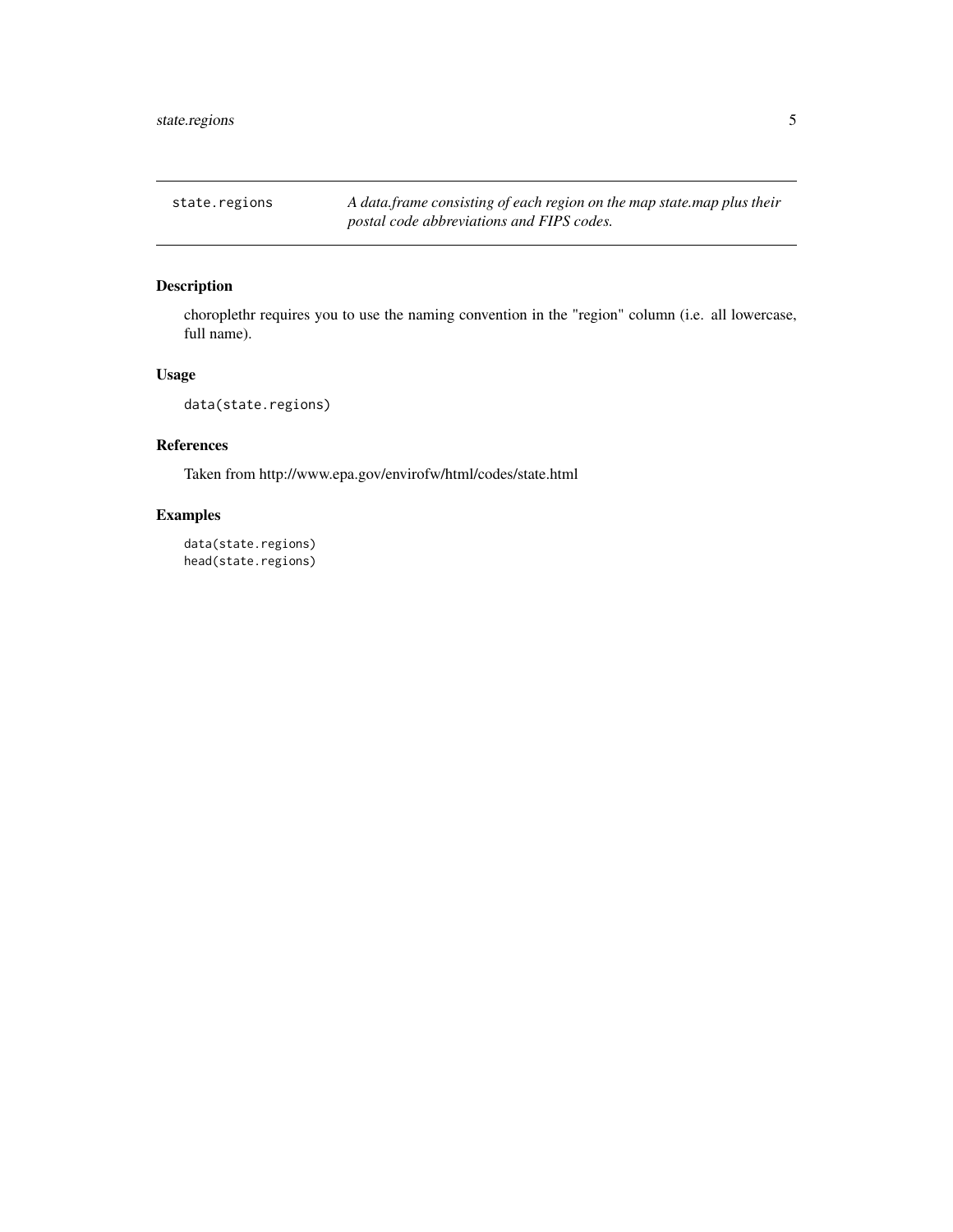<span id="page-4-0"></span>state.regions *A data.frame consisting of each region on the map state.map plus their postal code abbreviations and FIPS codes.*

# Description

choroplethr requires you to use the naming convention in the "region" column (i.e. all lowercase, full name).

# Usage

```
data(state.regions)
```
# References

Taken from http://www.epa.gov/envirofw/html/codes/state.html

# Examples

data(state.regions) head(state.regions)